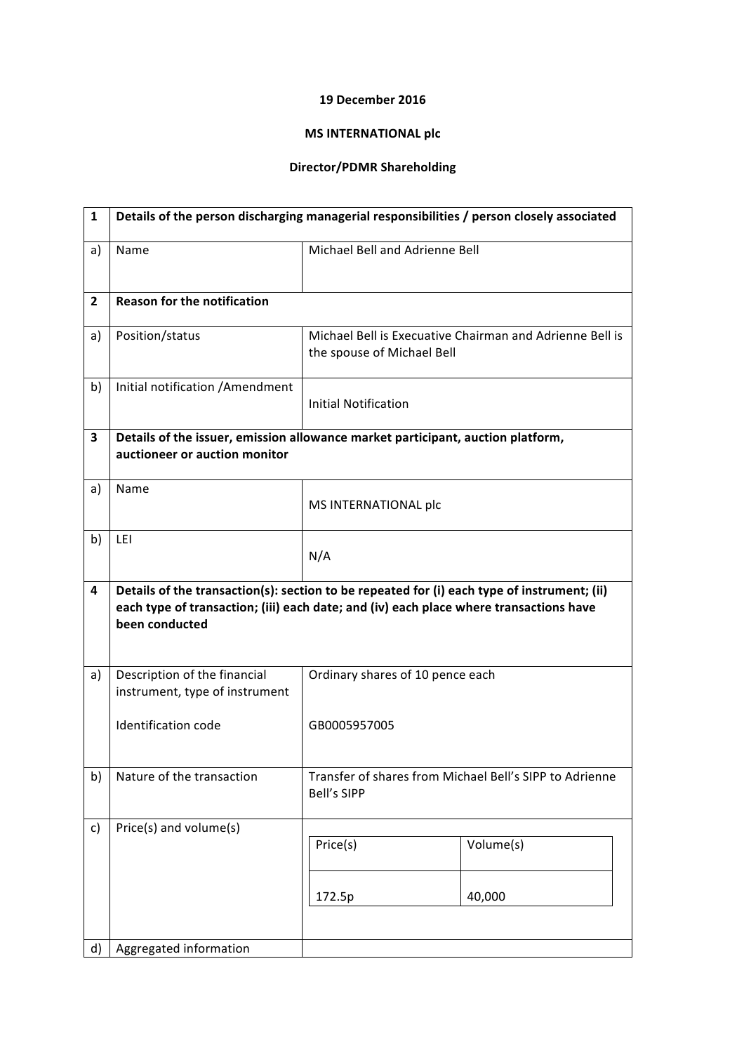## **19 December 2016**

## **MS INTERNATIONAL plc**

## **Director/PDMR Shareholding**

| $\mathbf{1}$   | Details of the person discharging managerial responsibilities / person closely associated |                                                                                                                                                                                       |
|----------------|-------------------------------------------------------------------------------------------|---------------------------------------------------------------------------------------------------------------------------------------------------------------------------------------|
| a)             | Name                                                                                      | Michael Bell and Adrienne Bell                                                                                                                                                        |
| $\overline{2}$ | <b>Reason for the notification</b>                                                        |                                                                                                                                                                                       |
| a)             | Position/status                                                                           | Michael Bell is Execuative Chairman and Adrienne Bell is<br>the spouse of Michael Bell                                                                                                |
| b)             | Initial notification / Amendment                                                          | <b>Initial Notification</b>                                                                                                                                                           |
| 3              | auctioneer or auction monitor                                                             | Details of the issuer, emission allowance market participant, auction platform,                                                                                                       |
| a)             | Name                                                                                      | MS INTERNATIONAL plc                                                                                                                                                                  |
| b)             | LEI                                                                                       | N/A                                                                                                                                                                                   |
| 4              | been conducted                                                                            | Details of the transaction(s): section to be repeated for (i) each type of instrument; (ii)<br>each type of transaction; (iii) each date; and (iv) each place where transactions have |
| a)             | Description of the financial<br>instrument, type of instrument                            | Ordinary shares of 10 pence each                                                                                                                                                      |
|                | Identification code                                                                       | GB0005957005                                                                                                                                                                          |
| b)             | Nature of the transaction                                                                 | Transfer of shares from Michael Bell's SIPP to Adrienne<br><b>Bell's SIPP</b>                                                                                                         |
| c)<br>d)       | Price(s) and volume(s)<br>Aggregated information                                          | Price(s)<br>Volume(s)<br>40,000<br>172.5p                                                                                                                                             |